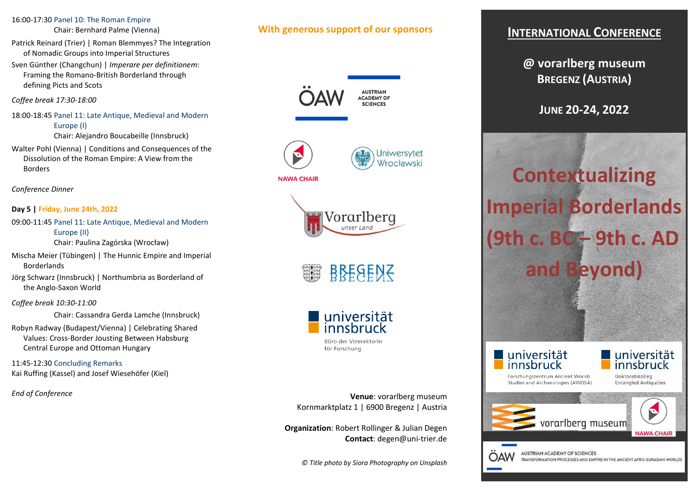#### 16:00-17:30 Panel 10: The Roman Empire

Chair: Bernhard Palme (Vienna)

- Patrick Reinard (Trier) | Roman Blemmyes? The Integration of Nomadic Groups into Imperial Structures
- Sven Günther (Changchun) | *Imperare per definitionem*: Framing the Romano-British Borderland through defining Picts and Scots

*Coffee break 17:30-18:00* 

- 18:00-18:45 Panel 11: Late Antique, Medieval and Modern Europe (I) Chair: Alejandro Boucabeille (Innsbruck)
- Walter Pohl (Vienna) | Conditions and Consequences of the Dissolution of the Roman Empire: A View from the Borders

*Conference Dinner* 

### **Day 5 | Friday, June 24th, 2022**

- 09:00-11:45 Panel 11: Late Antique, Medieval and Modern Europe (II) Chair: Paulina Zagórska (Wrocław)
- Mischa Meier (Tübingen) | The Hunnic Empire and Imperial Borderlands
- Jörg Schwarz (Innsbruck) | Northumbria as Borderland of the Anglo-Saxon World

#### *Coffee break 10:30-11:00*

Chair: Cassandra Gerda Lamche (Innsbruck)

Robyn Radway (Budapest/Vienna) | Celebrating SharedValues: Cross-Border Jousting Between Habsburg Central Europe and Ottoman Hungary

11:45-12:30 Concluding RemarksKai Ruffing (Kassel) and Josef Wiesehöfer (Kiel)

*End of Conference* 

# **With generous support of our sponsors**

**AUSTRIAN ACADEMY OF SCIENCES** 









für Forschung

**Venue**: vorarlberg museum Kornmarktplatz 1 | 6900 Bregenz | Austria

**Organization**: Robert Rollinger & Julian Degen **Contact**: degen@uni-trier.de

# **INTERNATIONAL CONFERENCE**

**@ vorarlberg museum BREGENZ (AUSTRIA)** 

**JUNE 20-24, 2022** 

**Contextualizing Imperial Borderlands(9th c. BC – 9th c. ADand Beyond)** 

universität innsbruck

OΔW



Forschungszentrum Ancient Worlds Studies and Archaeologies (AWOSA)

Doktoratskolleg **Entangled Antiquities** 



TRANSFORMATION PROCESSES AND EMPIRE IN THE ANCIENT AFRO-EURASIAN WORLDS